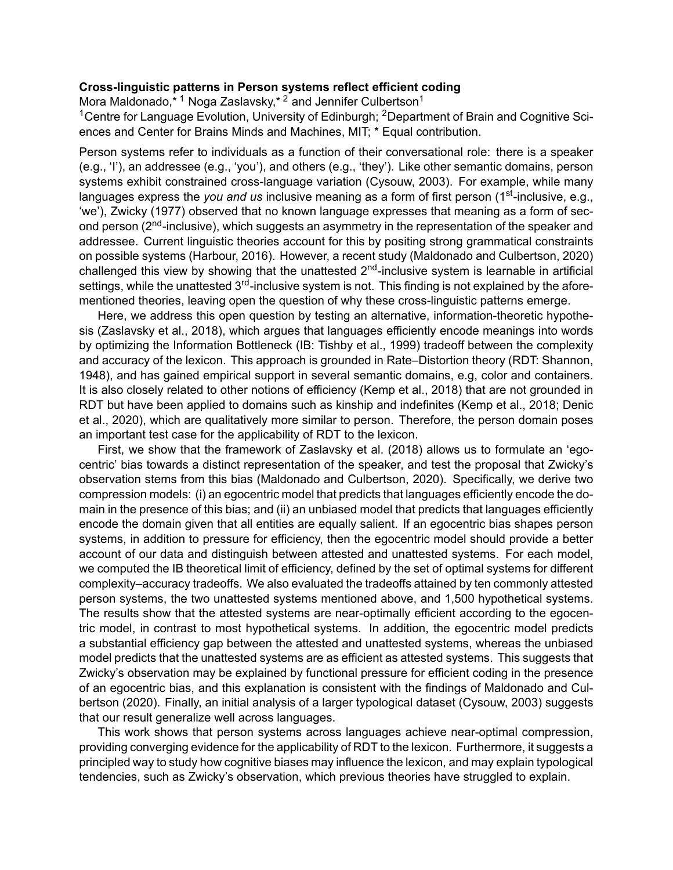## **Crosslinguistic patterns in Person systems reflect efficient coding**

Mora Maldonado,\* <sup>1</sup> Noga Zaslavsky,\* <sup>2</sup> and Jennifer Culbertson<sup>1</sup>

<sup>1</sup> Centre for Language Evolution, University of Edinburgh; <sup>2</sup> Department of Brain and Cognitive Sciences and Center for Brains Minds and Machines, MIT; \* Equal contribution.

Person systems refer to individuals as a function of their conversational role: there is a speaker (e.g., 'I'), an addressee (e.g., 'you'), and others (e.g., 'they'). Like other semantic domains, person systems exhibit constrained cross-language variation (Cysouw, 2003). For example, while many languages express the *you and us* inclusive meaning as a form of first person (1<sup>st-</sup>inclusive, e.g., 'we'), Zwicky (1977) observed that no known language expresses that meaning as a form of second person ( $2<sup>nd</sup>$ -inclusive), which suggests an asymmetry in the representation of the speaker and addressee. Current linguistic theories account for this by positing strong grammatical constraints on possible systems (Harbour, 2016). However, a recent study (Maldonado and Culbertson, 2020) challenged this view by showing that the unattested  $2<sup>nd</sup>$ -inclusive system is learnable in artificial settings, while the unattested  $3<sup>rd</sup>$ -inclusive system is not. This finding is not explained by the aforementioned theories, leaving open the question of why these cross-linguistic patterns emerge.

Here, we address this open question by testing an alternative, information-theoretic hypothesis (Zaslavsky et al., 2018), which argues that languages efficiently encode meanings into words by optimizing the Information Bottleneck (IB: Tishby et al., 1999) tradeoff between the complexity and accuracy of the lexicon. This approach is grounded in Rate–Distortion theory (RDT: Shannon, 1948), and has gained empirical support in several semantic domains, e.g, color and containers. It is also closely related to other notions of efficiency (Kemp et al., 2018) that are not grounded in RDT but have been applied to domains such as kinship and indefinites (Kemp et al., 2018; Denic et al., 2020), which are qualitatively more similar to person. Therefore, the person domain poses an important test case for the applicability of RDT to the lexicon.

First, we show that the framework of Zaslavsky et al. (2018) allows us to formulate an 'egocentric' bias towards a distinct representation of the speaker, and test the proposal that Zwicky's observation stems from this bias (Maldonado and Culbertson, 2020). Specifically, we derive two compression models: (i) an egocentric model that predicts that languages efficiently encode the domain in the presence of this bias; and (ii) an unbiased model that predicts that languages efficiently encode the domain given that all entities are equally salient. If an egocentric bias shapes person systems, in addition to pressure for efficiency, then the egocentric model should provide a better account of our data and distinguish between attested and unattested systems. For each model, we computed the IB theoretical limit of efficiency, defined by the set of optimal systems for different complexity–accuracy tradeoffs. We also evaluated the tradeoffs attained by ten commonly attested person systems, the two unattested systems mentioned above, and 1,500 hypothetical systems. The results show that the attested systems are near-optimally efficient according to the egocentric model, in contrast to most hypothetical systems. In addition, the egocentric model predicts a substantial efficiency gap between the attested and unattested systems, whereas the unbiased model predicts that the unattested systems are as efficient as attested systems. This suggests that Zwicky's observation may be explained by functional pressure for efficient coding in the presence of an egocentric bias, and this explanation is consistent with the findings of Maldonado and Culbertson (2020). Finally, an initial analysis of a larger typological dataset (Cysouw, 2003) suggests that our result generalize well across languages.

This work shows that person systems across languages achieve near-optimal compression, providing converging evidence for the applicability of RDT to the lexicon. Furthermore, it suggests a principled way to study how cognitive biases may influence the lexicon, and may explain typological tendencies, such as Zwicky's observation, which previous theories have struggled to explain.